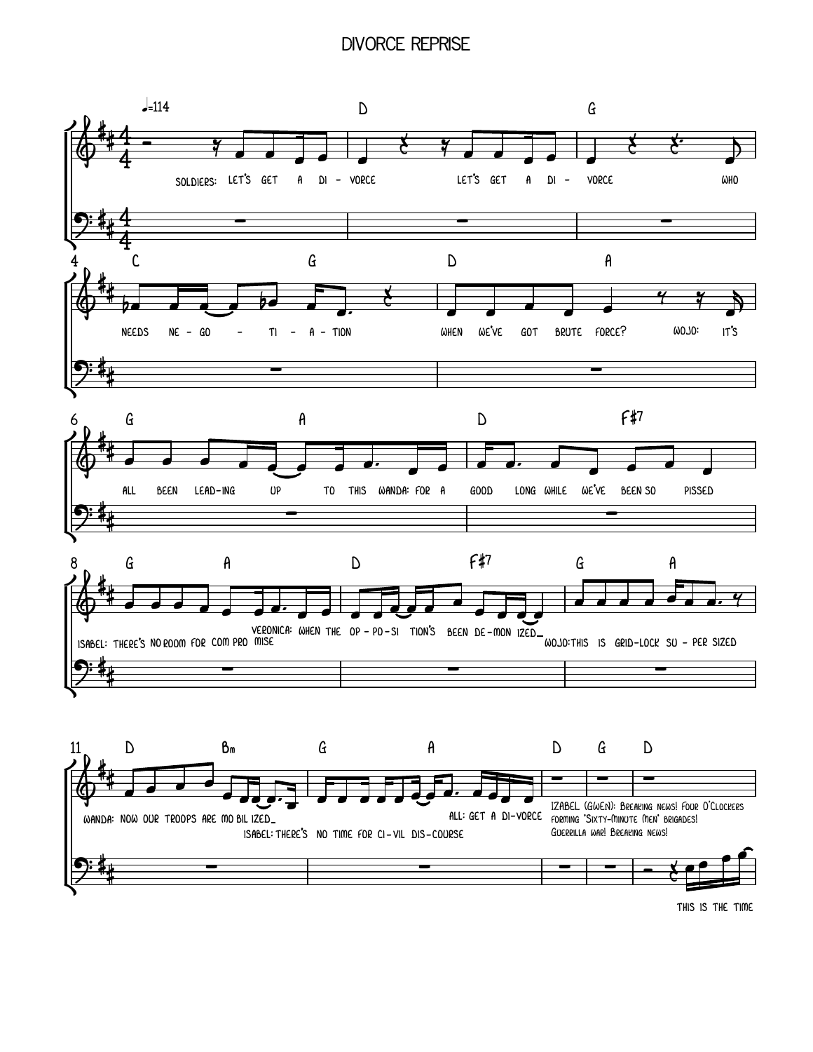## **DIVORCE REPRISE**



THIS IS THE TIME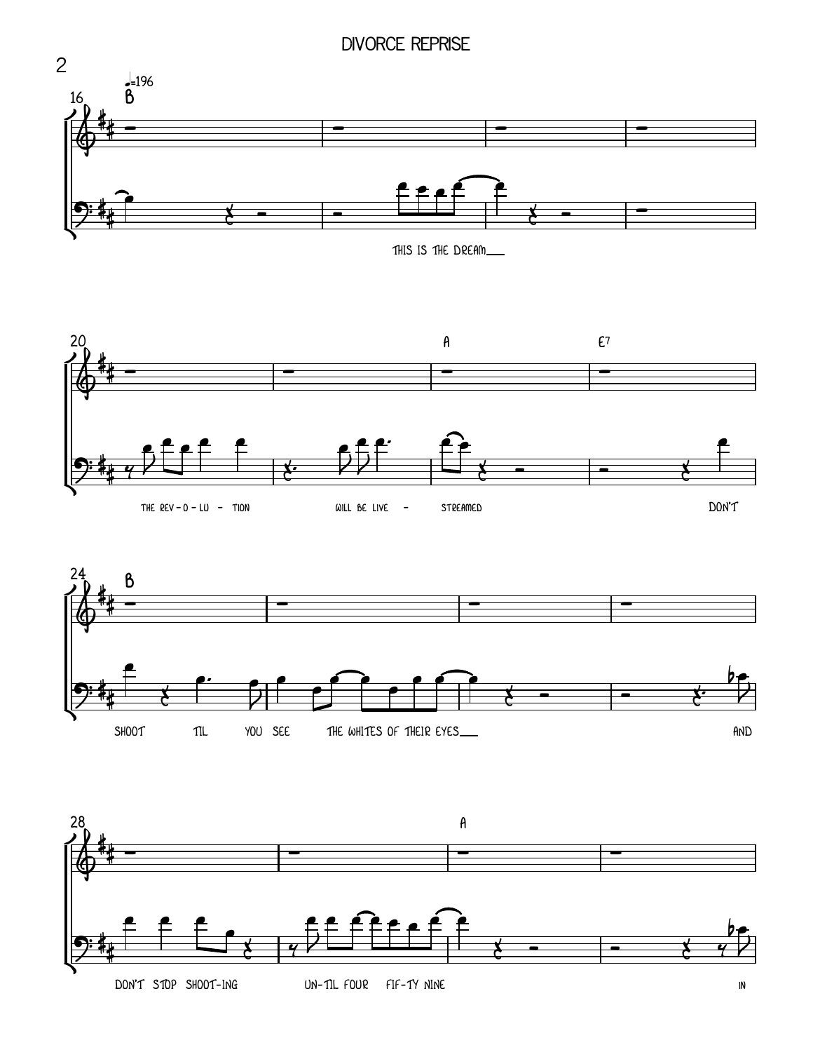## **DIVORCE REPRISE**

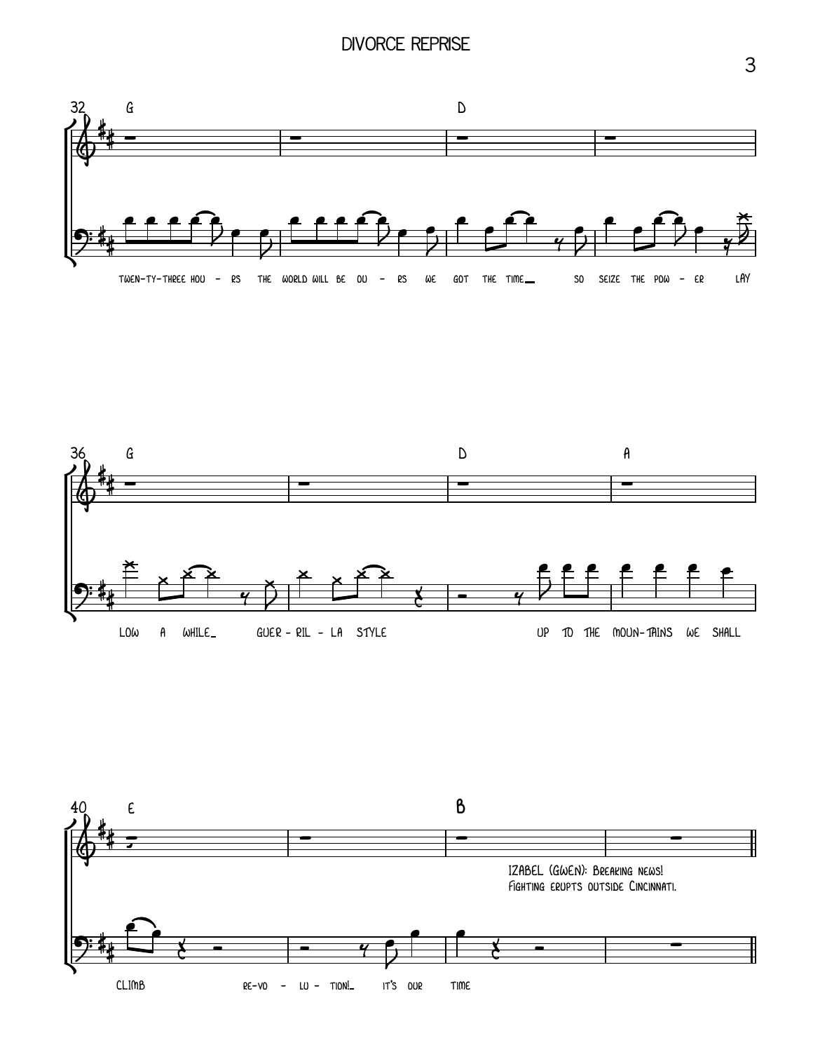